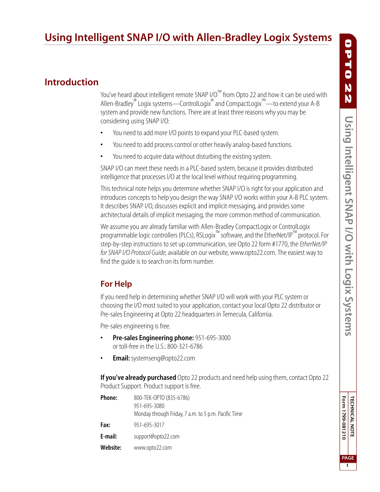# **Using Intelligent SNAP I/O with Allen-Bradley Logix Systems**

## **Introduction**

You've heard about intelligent remote SNAP I/O™ from Opto 22 and how it can be used with Allen-Bradley® Logix systems—ControlLogix® and CompactLogix™—to extend your A-B system and provide new functions. There are at least three reasons why you may be considering using SNAP I/O:

- **•** You need to add more I/O points to expand your PLC-based system.
- **•** You need to add process control or other heavily analog-based functions.
- **•** You need to acquire data without disturbing the existing system.

SNAP I/O can meet these needs in a PLC-based system, because it provides distributed intelligence that processes I/O at the local level without requiring programming.

This technical note helps you determine whether SNAP I/O is right for your application and introduces concepts to help you design the way SNAP I/O works within your A-B PLC system. It describes SNAP I/O, discusses explicit and implicit messaging, and provides some architectural details of implicit messaging, the more common method of communication.

We assume you are already familiar with Allen-Bradley CompactLogix or ControlLogix programmable logic controllers (PLCs), RSLogix™ software, and the EtherNet/IP™ protocol. For step-by-step instructions to set up communication, see Opto 22 form #1770, the *EtherNet/IP for SNAP I/O Protocol Guide*, available on our website, www.opto22.com. The easiest way to find the guide is to search on its form number.

### <span id="page-0-0"></span>**For Help**

If you need help in determining whether SNAP I/O will work with your PLC system or choosing the I/O most suited to your application, contact your local Opto 22 distributor or Pre-sales Engineering at Opto 22 headquarters in Temecula, California.

Pre-sales engineering is free.

- **Pre-sales Engineering phone:** 951-695-3000 or toll-free in the U.S.: 800-321-6786
- **Email:** systemseng@opto22.com

**If you've already purchased** Opto 22 products and need help using them, contact Opto 22 Product Support. Product support is free.

| Phone:   | 800-TEK-OPTO (835-6786)                              |
|----------|------------------------------------------------------|
|          | 951-695-3080                                         |
|          | Monday through Friday, 7 a.m. to 5 p.m. Pacific Time |
| Fax:     | 951-695-3017                                         |
| E-mail:  | support@opto22.com                                   |
| Website: | www.opto22.com                                       |

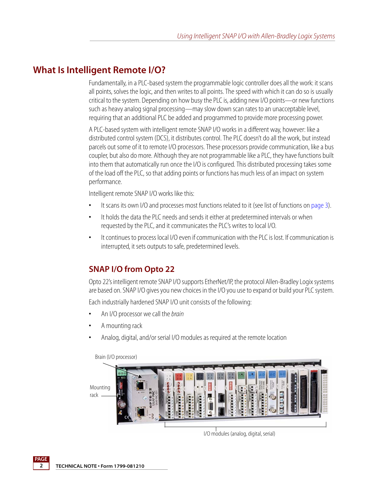## **What Is Intelligent Remote I/O?**

Fundamentally, in a PLC-based system the programmable logic controller does all the work: it scans all points, solves the logic, and then writes to all points. The speed with which it can do so is usually critical to the system. Depending on how busy the PLC is, adding new I/O points—or new functions such as heavy analog signal processing—may slow down scan rates to an unacceptable level, requiring that an additional PLC be added and programmed to provide more processing power.

A PLC-based system with intelligent remote SNAP I/O works in a different way, however: like a distributed control system (DCS), it distributes control. The PLC doesn't do all the work, but instead parcels out some of it to remote I/O processors. These processors provide communication, like a bus coupler, but also do more. Although they are not programmable like a PLC, they have functions built into them that automatically run once the I/O is configured. This distributed processing takes some of the load off the PLC, so that adding points or functions has much less of an impact on system performance.

Intelligent remote SNAP I/O works like this:

- **•** It scans its own I/O and processes most functions related to it (see list of functions on [page 3\)](#page-2-0).
- **•** It holds the data the PLC needs and sends it either at predetermined intervals or when requested by the PLC, and it communicates the PLC's writes to local I/O.
- **•** It continues to process local I/O even if communication with the PLC is lost. If communication is interrupted, it sets outputs to safe, predetermined levels.

## **SNAP I/O from Opto 22**

Opto 22's intelligent remote SNAP I/O supports EtherNet/IP, the protocol Allen-Bradley Logix systems are based on. SNAP I/O gives you new choices in the I/O you use to expand or build your PLC system.

Each industrially hardened SNAP I/O unit consists of the following:

- **•** An I/O processor we call the *brain*
- **•** A mounting rack
- **•** Analog, digital, and/or serial I/O modules as required at the remote location



I/O modules (analog, digital, serial)

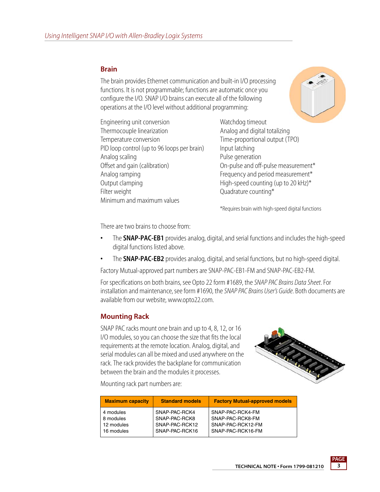#### <span id="page-2-0"></span>**Brain**

The brain provides Ethernet communication and built-in I/O processing functions. It is not programmable; functions are automatic once you configure the I/O. SNAP I/O brains can execute all of the following operations at the I/O level without additional programming:



Engineering unit conversion Thermocouple linearization Temperature conversion PID loop control (up to 96 loops per brain) Analog scaling Offset and gain (calibration) Analog ramping Output clamping Filter weight Minimum and maximum values

Watchdog timeout Analog and digital totalizing Time-proportional output (TPO) Input latching Pulse generation On-pulse and off-pulse measurement\* Frequency and period measurement\* High-speed counting (up to 20 kHz) $*$ Quadrature counting\*

\*Requires brain with high-speed digital functions

There are two brains to choose from:

- **•** The **SNAP-PAC-EB1** provides analog, digital, and serial functions and includes the high-speed digital functions listed above.
- **•** The **SNAP-PAC-EB2** provides analog, digital, and serial functions, but no high-speed digital.

Factory Mutual-approved part numbers are SNAP-PAC-EB1-FM and SNAP-PAC-EB2-FM.

For specifications on both brains, see Opto 22 form #1689, the *SNAP PAC Brains Data Sheet*. For installation and maintenance, see form #1690, the *SNAP PAC Brains User's Guide*. Both documents are available from our website, www.opto22.com.

#### **Mounting Rack**

SNAP PAC racks mount one brain and up to 4, 8, 12, or 16 I/O modules, so you can choose the size that fits the local requirements at the remote location. Analog, digital, and serial modules can all be mixed and used anywhere on the rack. The rack provides the backplane for communication between the brain and the modules it processes.



Mounting rack part numbers are:

| <b>Maximum capacity</b> | <b>Standard models</b> | <b>Factory Mutual-approved models</b> |
|-------------------------|------------------------|---------------------------------------|
| 4 modules               | SNAP-PAC-RCK4          | SNAP-PAC-RCK4-FM                      |
| 8 modules               | SNAP-PAC-RCK8          | SNAP-PAC-RCK8-FM                      |
| 12 modules              | SNAP-PAC-RCK12         | SNAP-PAC-RCK12-FM                     |
| 16 modules              | SNAP-PAC-RCK16         | SNAP-PAC-RCK16-FM                     |

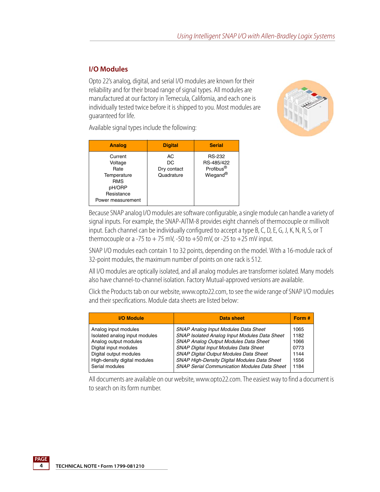#### **I/O Modules**

Opto 22's analog, digital, and serial I/O modules are known for their reliability and for their broad range of signal types. All modules are manufactured at our factory in Temecula, California, and each one is individually tested twice before it is shipped to you. Most modules are guaranteed for life.



Available signal types include the following:

| <b>Analog</b>                                                                                        | <b>Digital</b>                        | <b>Serial</b>                                                    |
|------------------------------------------------------------------------------------------------------|---------------------------------------|------------------------------------------------------------------|
| Current<br>Voltage<br>Rate<br>Temperature<br><b>RMS</b><br>pH/ORP<br>Resistance<br>Power measurement | AC<br>DC<br>Dry contact<br>Quadrature | <b>RS-232</b><br>RS-485/422<br>Profibus <sup>®</sup><br>Wiegand® |

Because SNAP analog I/O modules are software configurable, a single module can handle a variety of signal inputs. For example, the SNAP-AITM-8 provides eight channels of thermocouple or millivolt input. Each channel can be individually configured to accept a type B, C, D, E, G, J, K, N, R, S, or T thermocouple or a -75 to  $+ 75$  mV, -50 to  $+50$  mV, or -25 to  $+25$  mV input.

SNAP I/O modules each contain 1 to 32 points, depending on the model. With a 16-module rack of 32-point modules, the maximum number of points on one rack is 512.

All I/O modules are optically isolated, and all analog modules are transformer isolated. Many models also have channel-to-channel isolation. Factory Mutual-approved versions are available.

Click the Products tab on our website, www.opto22.com, to see the wide range of SNAP I/O modules and their specifications. Module data sheets are listed below:

| <b>SNAP Analog Input Modules Data Sheet</b><br>Analog input modules<br>1065<br>Isolated analog input modules<br>SNAP Isolated Analog Input Modules Data Sheet<br>1182<br><b>SNAP Analog Output Modules Data Sheet</b><br>Analog output modules<br>1066<br><b>SNAP Digital Input Modules Data Sheet</b><br>0773 | <b>I/O Module</b>     |
|----------------------------------------------------------------------------------------------------------------------------------------------------------------------------------------------------------------------------------------------------------------------------------------------------------------|-----------------------|
| SNAP Digital Output Modules Data Sheet<br>Digital output modules<br>1144<br>High-density digital modules<br>SNAP High-Density Digital Modules Data Sheet<br>1556<br><b>SNAP Serial Communication Modules Data Sheet</b><br>Serial modules<br>1184                                                              | Digital input modules |

All documents are available on our website, www.opto22.com. The easiest way to find a document is to search on its form number.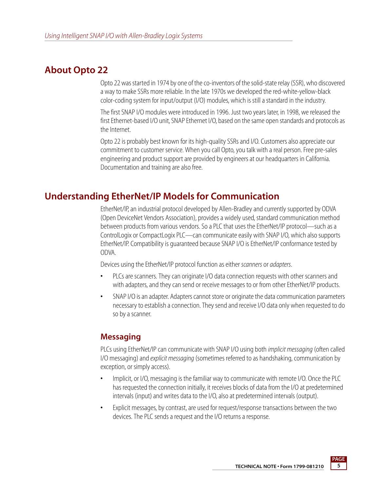## **About Opto 22**

Opto 22 was started in 1974 by one of the co-inventors of the solid-state relay (SSR), who discovered a way to make SSRs more reliable. In the late 1970s we developed the red-white-yellow-black color-coding system for input/output (I/O) modules, which is still a standard in the industry.

The first SNAP I/O modules were introduced in 1996. Just two years later, in 1998, we released the first Ethernet-based I/O unit, SNAP Ethernet I/O, based on the same open standards and protocols as the Internet.

Opto 22 is probably best known for its high-quality SSRs and I/O. Customers also appreciate our commitment to customer service. When you call Opto, you talk with a real person. Free pre-sales engineering and product support are provided by engineers at our headquarters in California. Documentation and training are also free.

## **Understanding EtherNet/IP Models for Communication**

EtherNet/IP, an industrial protocol developed by Allen-Bradley and currently supported by ODVA (Open DeviceNet Vendors Association), provides a widely used, standard communication method between products from various vendors. So a PLC that uses the EtherNet/IP protocol—such as a ControlLogix or CompactLogix PLC—can communicate easily with SNAP I/O, which also supports EtherNet/IP. Compatibility is guaranteed because SNAP I/O is EtherNet/IP conformance tested by ODVA.

Devices using the EtherNet/IP protocol function as either *scanners* or *adapters*.

- **•** PLCs are scanners. They can originate I/O data connection requests with other scanners and with adapters, and they can send or receive messages to or from other EtherNet/IP products.
- **•** SNAP I/O is an adapter. Adapters cannot store or originate the data communication parameters necessary to establish a connection. They send and receive I/O data only when requested to do so by a scanner.

### **Messaging**

PLCs using EtherNet/IP can communicate with SNAP I/O using both *implicit messaging* (often called I/O messaging) and *explicit messaging* (sometimes referred to as handshaking, communication by exception, or simply access).

- **•** Implicit, or I/O, messaging is the familiar way to communicate with remote I/O. Once the PLC has requested the connection initially, it receives blocks of data from the I/O at predetermined intervals (input) and writes data to the I/O, also at predetermined intervals (output).
- **•** Explicit messages, by contrast, are used for request/response transactions between the two devices. The PLC sends a request and the I/O returns a response.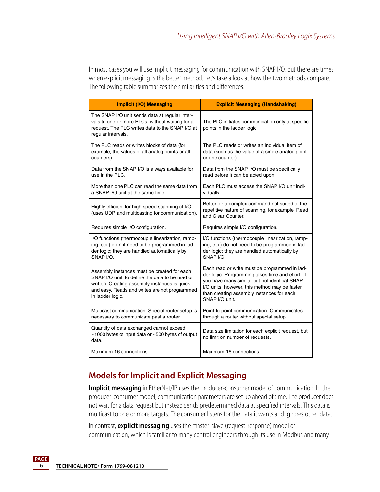In most cases you will use implicit messaging for communication with SNAP I/O, but there are times when explicit messaging is the better method. Let's take a look at how the two methods compare. The following table summarizes the similarities and differences.

| <b>Implicit (I/O) Messaging</b>                                                                                                                                                                                      | <b>Explicit Messaging (Handshaking)</b>                                                                                                                                                                                                                           |
|----------------------------------------------------------------------------------------------------------------------------------------------------------------------------------------------------------------------|-------------------------------------------------------------------------------------------------------------------------------------------------------------------------------------------------------------------------------------------------------------------|
| The SNAP I/O unit sends data at regular inter-<br>vals to one or more PLCs, without waiting for a<br>request. The PLC writes data to the SNAP I/O at<br>regular intervals.                                           | The PLC initiates communication only at specific<br>points in the ladder logic.                                                                                                                                                                                   |
| The PLC reads or writes blocks of data (for<br>example, the values of all analog points or all<br>counters).                                                                                                         | The PLC reads or writes an individual item of<br>data (such as the value of a single analog point<br>or one counter).                                                                                                                                             |
| Data from the SNAP I/O is always available for<br>use in the PLC.                                                                                                                                                    | Data from the SNAP I/O must be specifically<br>read before it can be acted upon.                                                                                                                                                                                  |
| More than one PLC can read the same data from<br>a SNAP I/O unit at the same time.                                                                                                                                   | Each PLC must access the SNAP I/O unit indi-<br>vidually.                                                                                                                                                                                                         |
| Highly efficient for high-speed scanning of I/O<br>(uses UDP and multicasting for communication).                                                                                                                    | Better for a complex command not suited to the<br>repetitive nature of scanning, for example, Read<br>and Clear Counter.                                                                                                                                          |
| Requires simple I/O configuration.                                                                                                                                                                                   | Requires simple I/O configuration.                                                                                                                                                                                                                                |
| I/O functions (thermocouple linearization, ramp-<br>ing, etc.) do not need to be programmed in lad-<br>der logic; they are handled automatically by<br>SNAP I/O.                                                     | I/O functions (thermocouple linearization, ramp-<br>ing, etc.) do not need to be programmed in lad-<br>der logic; they are handled automatically by<br>SNAP I/O.                                                                                                  |
| Assembly instances must be created for each<br>SNAP I/O unit, to define the data to be read or<br>written. Creating assembly instances is quick<br>and easy. Reads and writes are not programmed<br>in ladder logic. | Each read or write must be programmed in lad-<br>der logic. Programming takes time and effort. If<br>you have many similar but not identical SNAP<br>I/O units, however, this method may be faster<br>than creating assembly instances for each<br>SNAP I/O unit. |
| Multicast communication. Special router setup is<br>necessary to communicate past a router.                                                                                                                          | Point-to-point communication. Communicates<br>through a router without special setup.                                                                                                                                                                             |
| Quantity of data exchanged cannot exceed<br>~1000 bytes of input data or ~500 bytes of output<br>data.                                                                                                               | Data size limitation for each explicit request, but<br>no limit on number of requests.                                                                                                                                                                            |
| Maximum 16 connections                                                                                                                                                                                               | Maximum 16 connections                                                                                                                                                                                                                                            |

### **Models for Implicit and Explicit Messaging**

**Implicit messaging** in EtherNet/IP uses the producer-consumer model of communication. In the producer-consumer model, communication parameters are set up ahead of time. The producer does not wait for a data request but instead sends predetermined data at specified intervals. This data is multicast to one or more targets. The consumer listens for the data it wants and ignores other data.

In contrast, **explicit messaging** uses the master-slave (request-response) model of communication, which is familiar to many control engineers through its use in Modbus and many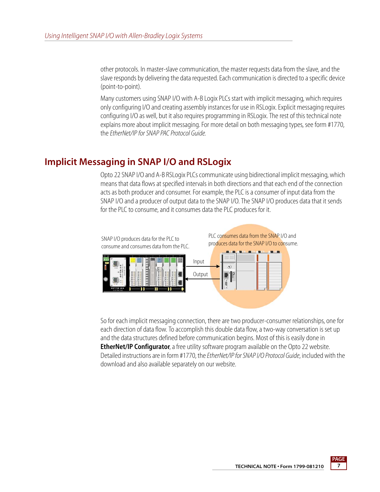other protocols. In master-slave communication, the master requests data from the slave, and the slave responds by delivering the data requested. Each communication is directed to a specific device (point-to-point).

Many customers using SNAP I/O with A-B Logix PLCs start with implicit messaging, which requires only configuring I/O and creating assembly instances for use in RSLogix. Explicit messaging requires configuring I/O as well, but it also requires programming in RSLogix. The rest of this technical note explains more about implicit messaging. For more detail on both messaging types, see form #1770, the *EtherNet/IP for SNAP PAC Protocol Guide.* 

## **Implicit Messaging in SNAP I/O and RSLogix**

Opto 22 SNAP I/O and A-B RSLogix PLCs communicate using bidirectional implicit messaging, which means that data flows at specified intervals in both directions and that each end of the connection acts as both producer and consumer. For example, the PLC is a consumer of input data from the SNAP I/O and a producer of output data to the SNAP I/O. The SNAP I/O produces data that it sends for the PLC to consume, and it consumes data the PLC produces for it.



So for each implicit messaging connection, there are two producer-consumer relationships, one for each direction of data flow. To accomplish this double data flow, a two-way conversation is set up and the data structures defined before communication begins. Most of this is easily done in **EtherNet/IP Configurator**, a free utility software program available on the Opto 22 website. Detailed instructions are in form #1770, the *EtherNet/IP for SNAP I/O Protocol Guide*, included with the download and also available separately on our website.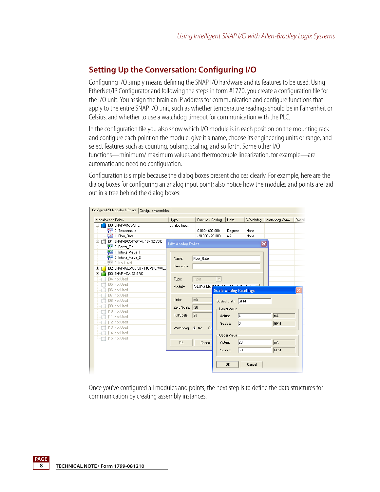## **Setting Up the Conversation: Configuring I/O**

Configuring I/O simply means defining the SNAP I/O hardware and its features to be used. Using EtherNet/IP Configurator and following the steps in form #1770, you create a configuration file for the I/O unit. You assign the brain an IP address for communication and configure functions that apply to the entire SNAP I/O unit, such as whether temperature readings should be in Fahrenheit or Celsius, and whether to use a watchdog timeout for communication with the PLC.

In the configuration file you also show which I/O module is in each position on the mounting rack and configure each point on the module: give it a name, choose its engineering units or range, and select features such as counting, pulsing, scaling, and so forth. Some other I/O functions—minimum/ maximum values and thermocouple linearization, for example—are automatic and need no configuration.

Configuration is simple because the dialog boxes present choices clearly. For example, here are the dialog boxes for configuring an analog input point; also notice how the modules and points are laid out in a tree behind the dialog boxes:



Once you've configured all modules and points, the next step is to define the data structures for communication by creating assembly instances.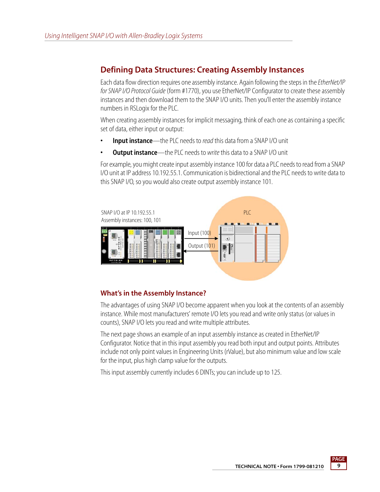## **Defining Data Structures: Creating Assembly Instances**

Each data flow direction requires one assembly instance. Again following the steps in the *EtherNet/IP for SNAP I/O Protocol Guide* (form #1770), you use EtherNet/IP Configurator to create these assembly instances and then download them to the SNAP I/O units. Then you'll enter the assembly instance numbers in RSLogix for the PLC.

When creating assembly instances for implicit messaging, think of each one as containing a specific set of data, either input or output:

- **Input instance**—the PLC needs to *read* this data from a SNAP I/O unit
- **Output instance**—the PLC needs to *write* this data to a SNAP I/O unit

For example, you might create input assembly instance 100 for data a PLC needs to read from a SNAP I/O unit at IP address 10.192.55.1. Communication is bidirectional and the PLC needs to write data to this SNAP I/O, so you would also create output assembly instance 101.



#### **What's in the Assembly Instance?**

The advantages of using SNAP I/O become apparent when you look at the contents of an assembly instance. While most manufacturers' remote I/O lets you read and write only status (or values in counts), SNAP I/O lets you read and write multiple attributes.

The next page shows an example of an input assembly instance as created in EtherNet/IP Configurator. Notice that in this input assembly you read both input and output points. Attributes include not only point values in Engineering Units (rValue), but also minimum value and low scale for the input, plus high clamp value for the outputs.

This input assembly currently includes 6 DINTs; you can include up to 125.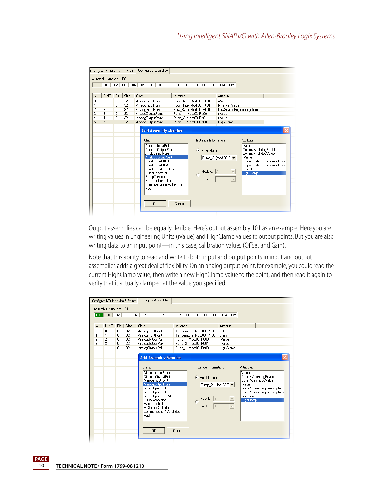| Configure I/O Modules & Points<br>Assembly Instance: 100 |                                         |                                                                   |                                  |                                                                                                                         | Configure Assemblies                                                                                                                                                                                              |  |                            |                                                                                                                                                 |   |                                 |           |                                                                                       |                          |                                                |                                                                                                       |  |  |
|----------------------------------------------------------|-----------------------------------------|-------------------------------------------------------------------|----------------------------------|-------------------------------------------------------------------------------------------------------------------------|-------------------------------------------------------------------------------------------------------------------------------------------------------------------------------------------------------------------|--|----------------------------|-------------------------------------------------------------------------------------------------------------------------------------------------|---|---------------------------------|-----------|---------------------------------------------------------------------------------------|--------------------------|------------------------------------------------|-------------------------------------------------------------------------------------------------------|--|--|
| 100                                                      |                                         |                                                                   |                                  | 101   102   103   104   105   106   107   108   109   110   111   112   113   114   115                                 |                                                                                                                                                                                                                   |  |                            |                                                                                                                                                 |   |                                 |           |                                                                                       |                          |                                                |                                                                                                       |  |  |
| #                                                        | <b>DINT</b>                             | Bit                                                               | Size                             | Class                                                                                                                   |                                                                                                                                                                                                                   |  | Instance                   |                                                                                                                                                 |   |                                 |           | Attribute                                                                             |                          |                                                |                                                                                                       |  |  |
| 0<br>1<br>$\overline{c}$<br>3<br>4<br>5                  | 0<br>1<br>$\overline{2}$<br>3<br>4<br>5 | 0<br>0<br>$\overline{0}$<br>$\overline{0}$<br>$\overline{0}$<br>n | 32<br>32<br>32<br>32<br>32<br>32 | AnalogInputPoint<br>AnalogInputPoint<br>AnalogInputPoint<br>AnalogOutputPoint<br>AnalogOutputPoint<br>AnalogOutputPoint | Class:                                                                                                                                                                                                            |  | <b>Add Assembly Member</b> | Flow Rate Mod:00 Pt:01<br>Flow Rate Mod:00 Pt:01<br>Flow Rate Mod:00 Pt:01<br>Pump 1 Mod:03 Pt:00<br>Pump_2 Mod:03 Pt:01<br>Pump 1 Mod:03 Pt:00 |   |                                 |           | Nalue<br>Minimum/Value<br>Nalue<br><b>Nalue</b><br>HighClamp<br>Instance Information: |                          | LowScaledEngineeringUnits<br>Attribute:        |                                                                                                       |  |  |
|                                                          |                                         |                                                                   |                                  |                                                                                                                         | <b>DiscreteInputPoint</b><br>DiscreteDutputPoint<br>AnalogInputPoint<br>AnalogOutputPoint<br>ScratchpadDINT<br>ScratchpadREAL<br>ScratchpadSTRING<br>PulseGenerator<br>RampController<br>PIDLoopController<br>Pad |  | CommunicationWatchdog      |                                                                                                                                                 | G | Point Name<br>Module:<br>Point: | $\vert$ 3 | Pump_2 (Mod:03 P -                                                                    | $\overline{\phantom{a}}$ | Value<br>Nalue<br>LowClamp<br><b>HighClamp</b> | CommWatchdogEnable<br>CommWatchdogValue<br>LowerScaledEngineeringUnits<br>UpperScaledEngineeringUnits |  |  |
|                                                          |                                         |                                                                   |                                  |                                                                                                                         | <b>OK</b>                                                                                                                                                                                                         |  | Cancel                     |                                                                                                                                                 |   |                                 |           |                                                                                       |                          |                                                |                                                                                                       |  |  |

Output assemblies can be equally flexible. Here's output assembly 101 as an example. Here you are writing values in Engineering Units (rValue) and HighClamp values to output points. But you are also writing data to an input point—in this case, calibration values (Offset and Gain).

Note that this ability to read and write to both input and output points in input and output assemblies adds a great deal of flexibility. On an analog output point, for example, you could read the current HighClamp value, then write a new HighClamp value to the point, and then read it again to verify that it actually clamped at the value you specified.

| Configure I/O Modules & Points<br>Assembly Instance: 101 |                    |                | Configure Assemblies<br>100 101 102 103 104 105 106 107 108 109 110 111 112 113 114 115                                                                                                                                                                                                  |                                            |                                                                                     |                                                     |                                                                     |                                                                                                       |
|----------------------------------------------------------|--------------------|----------------|------------------------------------------------------------------------------------------------------------------------------------------------------------------------------------------------------------------------------------------------------------------------------------------|--------------------------------------------|-------------------------------------------------------------------------------------|-----------------------------------------------------|---------------------------------------------------------------------|-------------------------------------------------------------------------------------------------------|
| #                                                        | <b>DINT</b><br>Bit | Size           | Class                                                                                                                                                                                                                                                                                    | Instance                                   |                                                                                     | Attribute                                           |                                                                     |                                                                                                       |
| 0<br>0<br>1<br>1<br>$\overline{c}$<br>$\overline{2}$     | 0<br>0<br>0        | 32<br>32<br>32 | AnalogInputPoint<br>AnalogInputPoint<br>AnalogDutputPoint                                                                                                                                                                                                                                | Pump 1 Mod:03 Pt:00                        | Temperature Mod:00 Pt:00<br>Temperature Mod:00 Pt:00                                | Offset<br>Gain<br>iValue                            |                                                                     |                                                                                                       |
| 3<br>3<br>4<br>4                                         | 0<br>n             | 32<br>32       | AnalogDutputPoint<br>AnalogDutputPoint                                                                                                                                                                                                                                                   | Pump 2 Mod:03 Pt:01<br>Pump 1 Mod:03 Pt:00 |                                                                                     | Nalue<br>HighClamp                                  |                                                                     |                                                                                                       |
|                                                          |                    |                | <b>Add Assembly Member</b><br>Class:<br><b>DiscreteInputPoint</b><br>DiscreteDutputPoint<br>AnalogInputPoint<br>AnalogOutputPoint<br>ScratchpadDINT<br>ScratchpadREAL<br>ScratchpadSTRING<br>PulseGenerator<br>RampController<br>PIDLoopController<br>CommunicationWatchdog<br>Pad<br>0K | Cancel                                     | Instance Information:<br>Æ<br>Point Name<br>Pump_2 (Mod:03 P -<br>Module:<br>Point: | $\overline{\phantom{a}}$<br>$\overline{\mathbf{v}}$ | Attribute:<br>Value<br><i>Nalue</i><br>LowClamp<br><b>HighClamp</b> | CommWatchdogEnable<br>CommWatchdogValue<br>LowerScaledEngineeringUnits<br>UpperScaledEngineeringUnits |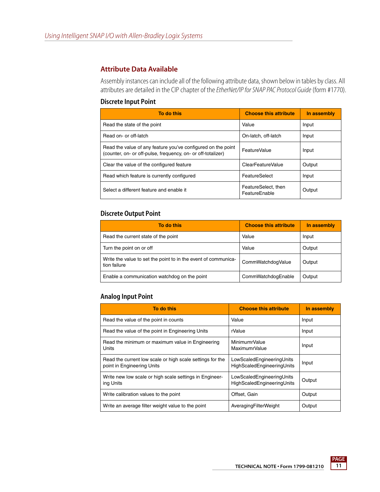#### **Attribute Data Available**

Assembly instances can include all of the following attribute data, shown below in tables by class. All attributes are detailed in the CIP chapter of the *EtherNet/IP for SNAP PAC Protocol Guide* (form #1770).

#### **Discrete Input Point**

| To do this                                                                                                                   | <b>Choose this attribute</b>         | In assembly |
|------------------------------------------------------------------------------------------------------------------------------|--------------------------------------|-------------|
| Read the state of the point                                                                                                  | Value                                | Input       |
| Read on- or off-latch                                                                                                        | On-latch, off-latch                  | Input       |
| Read the value of any feature you've configured on the point<br>(counter, on- or off-pulse, frequency, on- or off-totalizer) | <b>FeatureValue</b>                  | Input       |
| Clear the value of the configured feature                                                                                    | <b>ClearFeatureValue</b>             | Output      |
| Read which feature is currently configured                                                                                   | FeatureSelect                        | Input       |
| Select a different feature and enable it                                                                                     | FeatureSelect, then<br>FeatureFnable | Output      |

#### **Discrete Output Point**

| To do this                                                                     | <b>Choose this attribute</b> | In assembly |
|--------------------------------------------------------------------------------|------------------------------|-------------|
| Read the current state of the point                                            | Value                        | Input       |
| Turn the point on or off                                                       | Value                        | Output      |
| Write the value to set the point to in the event of communica-<br>tion failure | CommWatchdogValue            | Output      |
| Enable a communication watchdog on the point                                   | CommWatchdogEnable           | Output      |

#### **Analog Input Point**

| To do this                                                                              | <b>Choose this attribute</b>                            | In assembly |
|-----------------------------------------------------------------------------------------|---------------------------------------------------------|-------------|
| Read the value of the point in counts                                                   | Value                                                   | Input       |
| Read the value of the point in Engineering Units                                        | rValue                                                  | Input       |
| Read the minimum or maximum value in Engineering<br>Units                               | MinimumrValue<br><b>MaximumrValue</b>                   | Input       |
| Read the current low scale or high scale settings for the<br>point in Engineering Units | LowScaledEngineeringUnits<br>HighScaledEngineeringUnits | Input       |
| Write new low scale or high scale settings in Engineer-<br>ing Units                    | LowScaledEngineeringUnits<br>HighScaledEngineeringUnits | Output      |
| Write calibration values to the point                                                   | Offset, Gain                                            | Output      |
| Write an average filter weight value to the point                                       | AveragingFilterWeight                                   | Output      |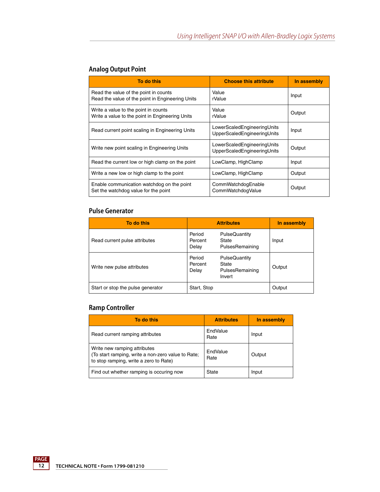| To do this                                                                                | <b>Choose this attribute</b>                               | In assembly |
|-------------------------------------------------------------------------------------------|------------------------------------------------------------|-------------|
| Read the value of the point in counts<br>Read the value of the point in Engineering Units | Value<br>rValue                                            | Input       |
| Write a value to the point in counts<br>Write a value to the point in Engineering Units   | Value<br>rValue                                            | Output      |
| Read current point scaling in Engineering Units                                           | LowerScaledEngineeringUnits<br>UpperScaledEngineeringUnits | Input       |
| Write new point scaling in Engineering Units                                              | LowerScaledEngineeringUnits<br>UpperScaledEngineeringUnits | Output      |
| Read the current low or high clamp on the point                                           | LowClamp, HighClamp                                        | Input       |
| Write a new low or high clamp to the point                                                | LowClamp, HighClamp                                        | Output      |
| Enable communication watchdog on the point<br>Set the watchdog value for the point        | CommWatchdogEnable<br>CommWatchdogValue                    | Output      |

#### **Analog Output Point**

#### **Pulse Generator**

| To do this                        |                                               | <b>Attributes</b>                | In assembly |
|-----------------------------------|-----------------------------------------------|----------------------------------|-------------|
| Read current pulse attributes     | Period<br>Percent<br>State<br>Delay           | PulseQuantity<br>PulsesRemaining | Input       |
| Write new pulse attributes        | Period<br>Percent<br>State<br>Delay<br>Invert | PulseQuantity<br>PulsesRemaining | Output      |
| Start or stop the pulse generator | Start, Stop                                   |                                  | Output      |

#### **Ramp Controller**

| To do this                                                                                                                   | <b>Attributes</b> | In assembly |
|------------------------------------------------------------------------------------------------------------------------------|-------------------|-------------|
| Read current ramping attributes                                                                                              | EndValue<br>Rate  | Input       |
| Write new ramping attributes<br>(To start ramping, write a non-zero value to Rate;<br>to stop ramping, write a zero to Rate) | EndValue<br>Rate  | Output      |
| Find out whether ramping is occuring now                                                                                     | State             | Input       |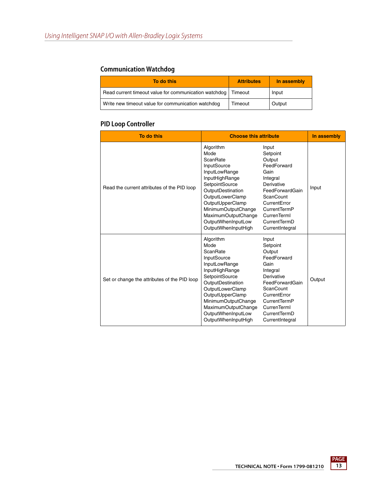#### **Communication Watchdog**

| To do this                                            | <b>Attributes</b> | In assembly |
|-------------------------------------------------------|-------------------|-------------|
| Read current timeout value for communication watchdog | Timeout           | Input       |
| Write new timeout value for communication watchdog    | Timeout           | Output      |

#### **PID Loop Controller**

| To do this                                   | <b>Choose this attribute</b>                                                                                                                                                                                                                                     |                                                                                                                                                                                                       | In assembly |
|----------------------------------------------|------------------------------------------------------------------------------------------------------------------------------------------------------------------------------------------------------------------------------------------------------------------|-------------------------------------------------------------------------------------------------------------------------------------------------------------------------------------------------------|-------------|
| Read the current attributes of the PID loop  | Algorithm<br>Mode<br>ScanRate<br>InputSource<br>InputLowRange<br>InputHighRange<br>SetpointSource<br>OutputDestination<br>OutputLowerClamp<br>OutputUpperClamp<br>MinimumOutputChange<br><b>MaximumOutputChange</b><br>OutputWhenInputLow<br>OutputWhenInputHigh | Input<br>Setpoint<br>Output<br>FeedForward<br>Gain<br>Integral<br>Derivative<br>FeedForwardGain<br><b>ScanCount</b><br>CurrentError<br>CurrentTermP<br>CurrenTerml<br>CurrentTermD<br>CurrentIntegral | Input       |
| Set or change the attributes of the PID loop | Algorithm<br>Mode<br>ScanRate<br>InputSource<br>InputLowRange<br>InputHighRange<br>SetpointSource<br>OutputDestination<br>OutputLowerClamp<br>OutputUpperClamp<br>MinimumOutputChange<br>MaximumOutputChange<br>OutputWhenInputLow<br>OutputWhenInputHigh        | Input<br>Setpoint<br>Output<br>FeedForward<br>Gain<br>Integral<br>Derivative<br>FeedForwardGain<br><b>ScanCount</b><br>CurrentError<br>CurrentTermP<br>CurrenTerml<br>CurrentTermD<br>CurrentIntegral | Output      |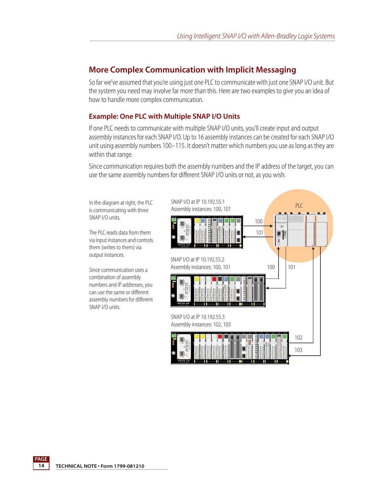### **More Complex Communication with Implicit Messaging**

So far we've assumed that you're using just one PLC to communicate with just one SNAP I/O unit. But the system you need may involve far more than this. Here are two examples to give you an idea of how to handle more complex communication.

#### **Example: One PLC with Multiple SNAP I/O Units**

If one PLC needs to communicate with multiple SNAP I/O units, you'll create input and output assembly instances for each SNAP I/O. Up to 16 assembly instances can be created for each SNAP I/O unit using assembly numbers 100–115. It doesn't matter which numbers you use as long as they are within that range.

Since communication requires both the assembly numbers and the IP address of the target, you can use the same assembly numbers for different SNAP I/O units or not, as you wish.

In the diagram at right, the PLC is communicating with three SNAP I/O units.

The PLC reads data from them via input instances and controls them (writes to them) via output instances.

Since communication uses a combination of assembly numbers and IP addresses, you can use the same or different assembly numbers for different SNAP I/O units.

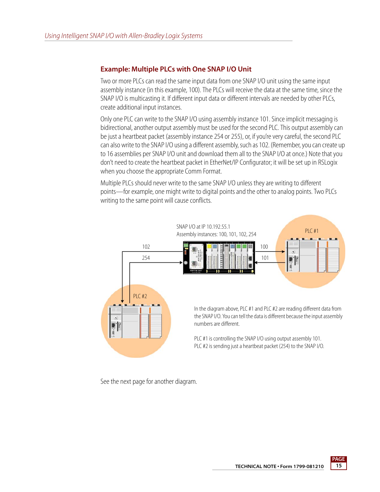#### **Example: Multiple PLCs with One SNAP I/O Unit**

Two or more PLCs can read the same input data from one SNAP I/O unit using the same input assembly instance (in this example, 100). The PLCs will receive the data at the same time, since the SNAP I/O is multicasting it. If different input data or different intervals are needed by other PLCs, create additional input instances.

Only one PLC can write to the SNAP I/O using assembly instance 101. Since implicit messaging is bidirectional, another output assembly must be used for the second PLC. This output assembly can be just a heartbeat packet (assembly instance 254 or 255), or, if you're very careful, the second PLC can also write to the SNAP I/O using a different assembly, such as 102. (Remember, you can create up to 16 assemblies per SNAP I/O unit and download them all to the SNAP I/O at once.) Note that you don't need to create the heartbeat packet in EtherNet/IP Configurator; it will be set up in RSLogix when you choose the appropriate Comm Format.

Multiple PLCs should never write to the same SNAP I/O unless they are writing to different points—for example, one might write to digital points and the other to analog points. Two PLCs writing to the same point will cause conflicts.



See the next page for another diagram.